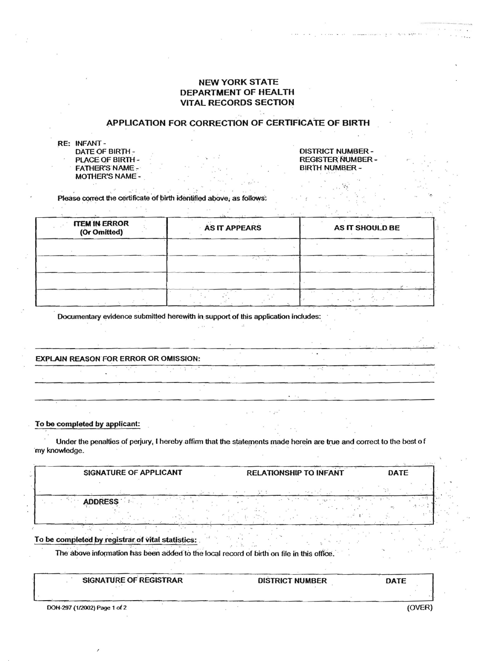# **NEW YORK STATE DEPARTMENT OF HEALTH VITAL RECORDS SECTION**

## APPLICATION FOR CORRECTION OF CERTIFICATE OF BIRTH

| <b>RE: INFANT-</b>    |
|-----------------------|
| DATE OF BIRTH         |
| <b>PLACE OF BIRTH</b> |
| <b>FATHER'S NAME</b>  |
| <b>MOTHER'S NAME</b>  |

## **DISTRICT NUMBER-REGISTER NUMBER -BIRTH NUMBER -**

Please correct the certificate of birth identified above, as follows:

| <b>ITEM IN ERROR</b><br>(Or Omitted) | <b>AS IT APPEARS</b> | AS IT SHOULD BE |  |
|--------------------------------------|----------------------|-----------------|--|
|                                      |                      |                 |  |
|                                      | a jih                |                 |  |
|                                      |                      |                 |  |
|                                      |                      | $\mathbf{r}$    |  |

Documentary evidence submitted herewith in support of this application includes:

**EXPLAIN REASON FOR ERROR OR OMISSION:** 

To be completed by applicant:

Under the penalties of perjury, I hereby affirm that the statements made herein are true and correct to the best of 'my knowledge.

**SIGNATURE OF APPLICANT RELATIONSHIP TO INFANT DATE ADDRESS** 

To be completed by registrar of vital statistics:

The above information has been added to the local record of birth on file in this office.

| <b>SIGNATURE OF REGISTRAR</b> | <b>DISTRICT NUMBER</b> | DATE         |
|-------------------------------|------------------------|--------------|
|                               |                        |              |
| DOH-297 (1/2002) Page 1 of 2  |                        | <b>(OVER</b> |